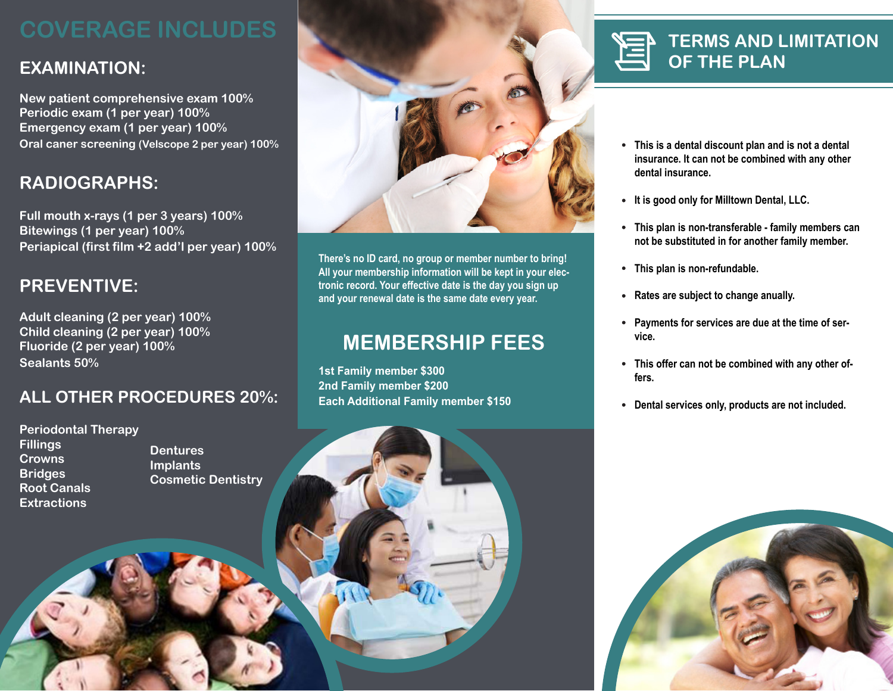## **MEMBERSHIP FEES**

## **EXAMINATION:**

**New patient comprehensive exam 100% Periodic exam (1 per year) 100% Emergency exam (1 per year) 100% Oral caner screening (Velscope 2 per year) 100%**

## **RADIOGRAPHS:**

**Full mouth x-rays (1 per 3 years) 100% Bitewings (1 per year) 100% Periapical (first film +2 add'l per year) 100%**

## **PREVENTIVE:**

**Adult cleaning (2 per year) 100% Child cleaning (2 per year) 100% Fluoride (2 per year) 100% Sealants 50%**

## **ALL OTHER PROCEDURES 20%:**

**Periodontal Therapy Fillings Crowns Bridges Root Canals Extractions**



# **OF THE PLAN**

**There's no ID card, no group or member number to bring! All your membership information will be kept in your electronic record. Your effective date is the day you sign up and your renewal date is the same date every year.**

**1st Family member \$300 2nd Family member \$200 Each Additional Family member \$150**





**This is a dental discount plan and is not a dental insurance. It can not be combined with any other** 

**This plan is non-transferable - family members can not be substituted in for another family member.**

- **dental insurance.**
- **It is good only for Milltown Dental, LLC.**
- 
- **This plan is non-refundable.**
- **Rates are subject to change anually.**
- **vice.**
- **fers.**
- 



**Payments for services are due at the time of ser-**

**This offer can not be combined with any other of-**

**Dental services only, products are not included.** 

**Dentures Implants Cosmetic Dentistry**